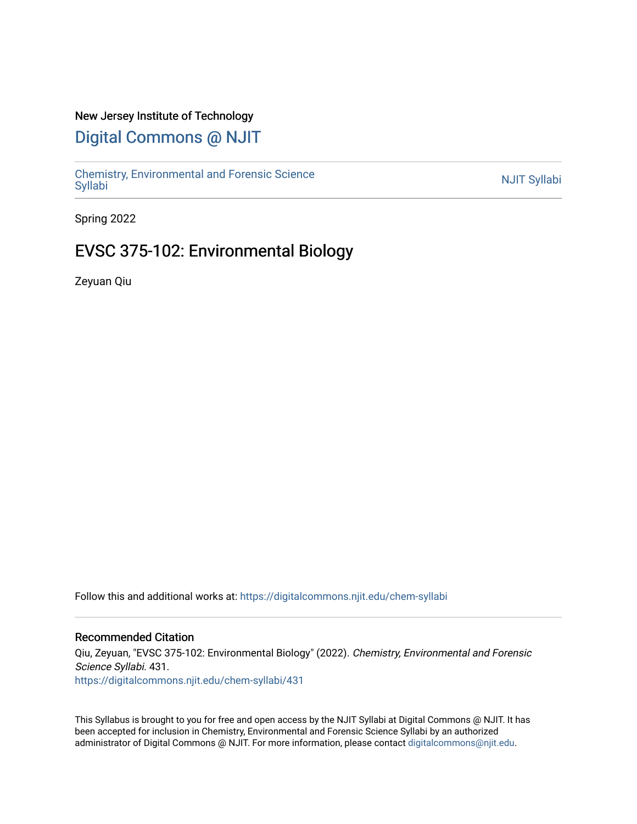#### New Jersey Institute of Technology

# [Digital Commons @ NJIT](https://digitalcommons.njit.edu/)

Chemistry, Environmental and Forensic Science<br>Syllabi

Spring 2022

# EVSC 375-102: Environmental Biology

Zeyuan Qiu

Follow this and additional works at: [https://digitalcommons.njit.edu/chem-syllabi](https://digitalcommons.njit.edu/chem-syllabi?utm_source=digitalcommons.njit.edu%2Fchem-syllabi%2F431&utm_medium=PDF&utm_campaign=PDFCoverPages) 

#### Recommended Citation

Qiu, Zeyuan, "EVSC 375-102: Environmental Biology" (2022). Chemistry, Environmental and Forensic Science Syllabi. 431. [https://digitalcommons.njit.edu/chem-syllabi/431](https://digitalcommons.njit.edu/chem-syllabi/431?utm_source=digitalcommons.njit.edu%2Fchem-syllabi%2F431&utm_medium=PDF&utm_campaign=PDFCoverPages) 

This Syllabus is brought to you for free and open access by the NJIT Syllabi at Digital Commons @ NJIT. It has been accepted for inclusion in Chemistry, Environmental and Forensic Science Syllabi by an authorized administrator of Digital Commons @ NJIT. For more information, please contact [digitalcommons@njit.edu.](mailto:digitalcommons@njit.edu)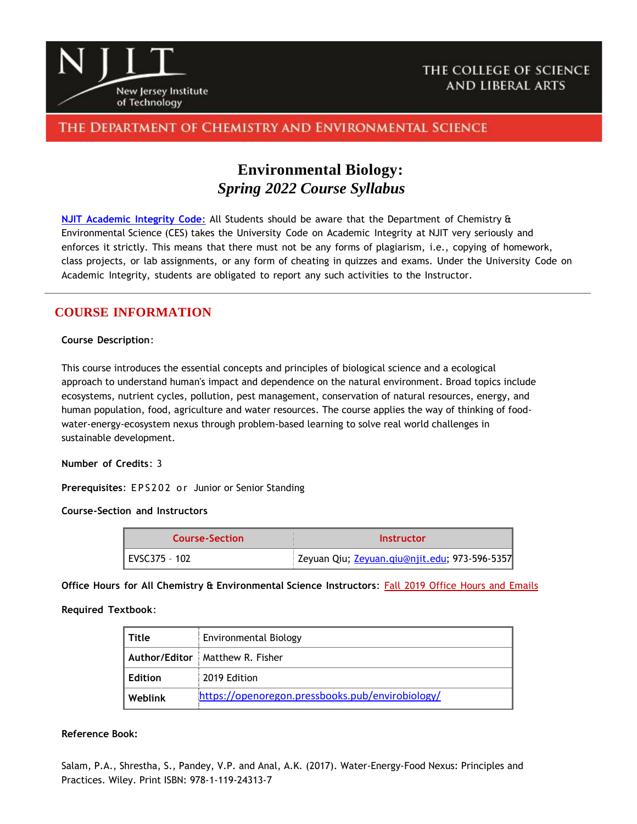

## THE COLLEGE OF SCIENCE AND LIBERAL ARTS

## THE DEPARTMENT OF CHEMISTRY AND ENVIRONMENTAL SCIENCE

# **Environmental Biology:** *Spring 2022 Course Syllabus*

**NJIT [Academic](https://www.njit.edu/policies/sites/policies/files/academic-integrity-code.pdf) Integrity Code**: All Students should be aware that the Department of Chemistry & Environmental Science (CES) takes the University Code on Academic Integrity at NJIT very seriously and enforces it strictly. This means that there must not be any forms of plagiarism, i.e., copying of homework, class projects, or lab assignments, or any form of cheating in quizzes and exams. Under the University Code on Academic Integrity, students are obligated to report any such activities to the Instructor.

### **COURSE INFORMATION**

#### **Course Description**:

This course introduces the essential concepts and principles of biological science and a ecological approach to understand human's impact and dependence on the natural environment. Broad topics include ecosystems, nutrient cycles, pollution, pest management, conservation of natural resources, energy, and human population, food, agriculture and water resources. The course applies the way of thinking of foodwater-energy-ecosystem nexus through problem-based learning to solve real world challenges in sustainable development.

**Number of Credits**: 3

**Prerequisites:** EPS202 or Junior or Senior Standing

**Course-Section and Instructors**

| <b>Course-Section</b> | Instructor                                    |
|-----------------------|-----------------------------------------------|
| EVSC375 - 102         | Zeyuan Qiu; Zeyuan.qiu@njit.edu; 973-596-5357 |

**Office Hours for All Chemistry & Environmental Science Instructors**: Fall 2019 Office Hours and [Emails](http://chemistry.njit.edu/)

**Required Textbook**:

| l Title | Environmental Biology                            |  |
|---------|--------------------------------------------------|--|
|         | Author/Editor   Matthew R. Fisher                |  |
| Edition | 2019 Edition                                     |  |
| Weblink | https://openoregon.pressbooks.pub/envirobiology/ |  |

#### **Reference Book:**

Salam, P.A., Shrestha, S., Pandey, V.P. and Anal, A.K. (2017). Water-Energy-Food Nexus: Principles and Practices. Wiley. Print ISBN: 978-1-119-24313-7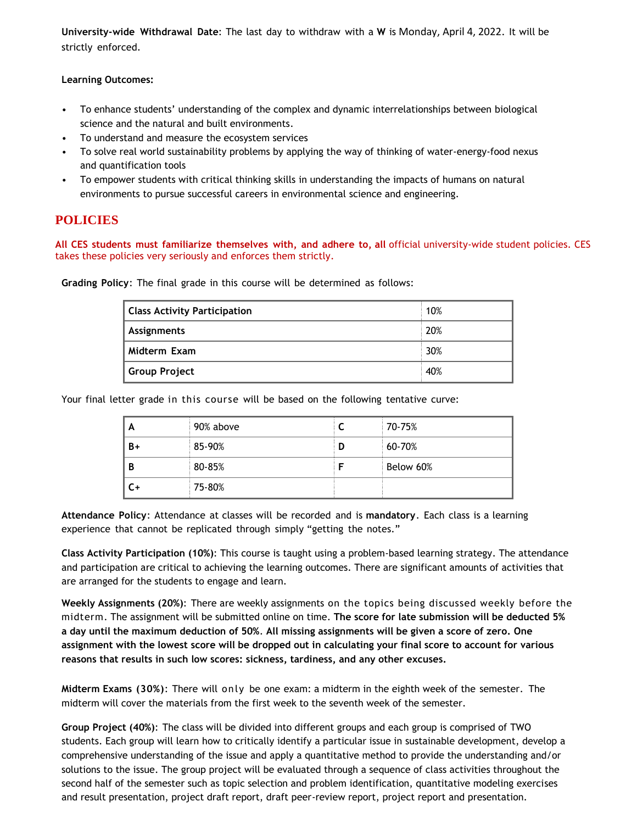**University-wide Withdrawal Date**: The last day to withdraw with a **W** is Monday, April 4, 2022. It will be strictly enforced.

**Learning Outcomes:**

- To enhance students' understanding of the complex and dynamic interrelationships between biological science and the natural and built environments.
- To understand and measure the ecosystem services
- To solve real world sustainability problems by applying the way of thinking of water-energy-food nexus and quantification tools
- To empower students with critical thinking skills in understanding the impacts of humans on natural environments to pursue successful careers in environmental science and engineering.

### **POLICIES**

**All CES students must familiarize themselves with, and adhere to, all** official university-wide student policies. CES takes these policies very seriously and enforces them strictly.

**Grading Policy**: The final grade in this course will be determined as follows:

| <b>Class Activity Participation</b> | 10% |
|-------------------------------------|-----|
| Assignments                         | 20% |
| Midterm Exam                        | 30% |
| Group Project                       | 40% |

Your final letter grade in this course will be based on the following tentative curve:

| A    | 90% above |   | 70-75%    |
|------|-----------|---|-----------|
| $B+$ | 85-90%    | D | 60-70%    |
| B    | 80-85%    |   | Below 60% |
| $C+$ | 75-80%    |   |           |

**Attendance Policy**: Attendance at classes will be recorded and is **mandatory**. Each class is a learning experience that cannot be replicated through simply "getting the notes."

**Class Activity Participation (10%)**: This course is taught using a problem-based learning strategy. The attendance and participation are critical to achieving the learning outcomes. There are significant amounts of activities that are arranged for the students to engage and learn.

**Weekly Assignments (20%)**: There are weekly assignments on the topics being discussed weekly before the midterm. The assignment will be submitted online on time. **The score for late submission will be deducted 5% a day until the maximum deduction of 50%**. **All missing assignments will be given a score of zero. One assignment with the lowest score will be dropped out in calculating your final score to account for various reasons that results in such low scores: sickness, tardiness, and any other excuses.**

**Midterm Exams (30%)**: There will only be one exam: a midterm in the eighth week of the semester. The midterm will cover the materials from the first week to the seventh week of the semester.

**Group Project (40%)**: The class will be divided into different groups and each group is comprised of TWO students. Each group will learn how to critically identify a particular issue in sustainable development, develop a comprehensive understanding of the issue and apply a quantitative method to provide the understanding and/or solutions to the issue. The group project will be evaluated through a sequence of class activities throughout the second half of the semester such as topic selection and problem identification, quantitative modeling exercises and result presentation, project draft report, draft peer-review report, project report and presentation.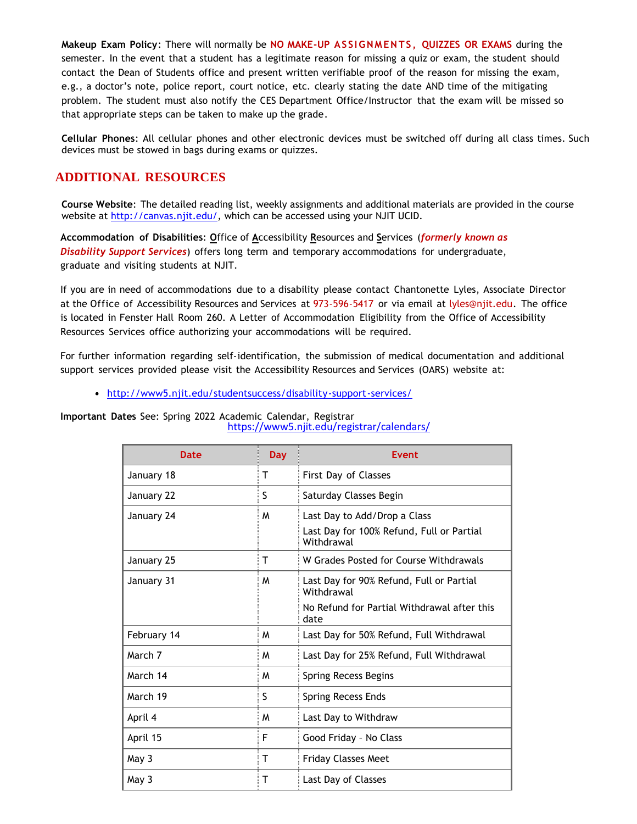**Makeup Exam Policy**: There will normally be **NO MAKE-UP ASSI GNMEN TS, QUIZZES OR EXAMS** during the semester. In the event that a student has a legitimate reason for missing a quiz or exam, the student should contact the Dean of Students office and present written verifiable proof of the reason for missing the exam, e.g., a doctor's note, police report, court notice, etc. clearly stating the date AND time of the mitigating problem. The student must also notify the CES Department Office/Instructor that the exam will be missed so that appropriate steps can be taken to make up the grade.

**Cellular Phones**: All cellular phones and other electronic devices must be switched off during all class times. Such devices must be stowed in bags during exams or quizzes.

#### **ADDITIONAL RESOURCES**

**Course Website**: The detailed reading list, weekly assignments and additional materials are provided in the course website at [http://canvas.njit.edu/,](http://canvas.njit.edu/) which can be accessed using your NJIT UCID.

**Accommodation of Disabilities**: **O**ffice of **A**ccessibility **R**esources and **S**ervices (*formerly known as Disability Support Services*) offers long term and temporary accommodations for undergraduate, graduate and visiting students at NJIT.

If you are in need of accommodations due to a disability please contact Chantonette Lyles, Associate Director at the Office of Accessibility Resources and Services at 973-596-5417 or via email at [lyles@njit.edu.](mailto:lyles@njit.edu) The office is located in Fenster Hall Room 260. A Letter of Accommodation Eligibility from the Office of Accessibility Resources Services office authorizing your accommodations will be required.

For further information regarding self-identification, the submission of medical documentation and additional support services provided please visit the Accessibility Resources and Services (OARS) website at:

[http://www5.njit.edu/studentsuccess/disability-support-services/](http://www.njit.edu/studentsuccess/accessibility/)

**Important Dates** See: Spring 2022 Academic Calendar, Registrar <https://www5.njit.edu/registrar/calendars/>

| Date        | <b>Day</b> | <b>Fvent</b>                                            |  |
|-------------|------------|---------------------------------------------------------|--|
| January 18  | т          | First Day of Classes                                    |  |
| January 22  | S          | Saturday Classes Begin                                  |  |
| January 24  | M          | Last Day to Add/Drop a Class                            |  |
|             |            | Last Day for 100% Refund, Full or Partial<br>Withdrawal |  |
| January 25  | т          | W Grades Posted for Course Withdrawals                  |  |
| January 31  | M          | Last Day for 90% Refund, Full or Partial<br>Withdrawal  |  |
|             |            | No Refund for Partial Withdrawal after this<br>date     |  |
| February 14 | M          | Last Day for 50% Refund, Full Withdrawal                |  |
| March 7     | M          | Last Day for 25% Refund, Full Withdrawal                |  |
| March 14    | M          | Spring Recess Begins                                    |  |
| March 19    | S          | Spring Recess Ends                                      |  |
| April 4     | M          | Last Day to Withdraw                                    |  |
| April 15    | F          | Good Friday - No Class                                  |  |
| May 3       | т          | <b>Friday Classes Meet</b>                              |  |
| May 3       | т          | Last Day of Classes                                     |  |